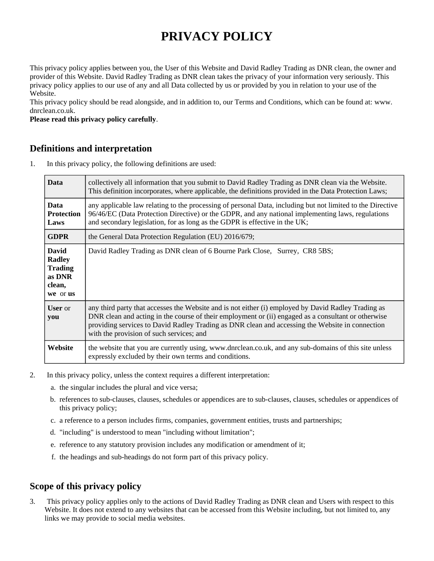# **PRIVACY POLICY**

This privacy policy applies between you, the User of this Website and David Radley Trading as DNR clean, the owner and provider of this Website. David Radley Trading as DNR clean takes the privacy of your information very seriously. This privacy policy applies to our use of any and all Data collected by us or provided by you in relation to your use of the Website.

This privacy policy should be read alongside, and in addition to, our Terms and Conditions, which can be found at: www. dnrclean.co.uk.

**Please read this privacy policy carefully**.

#### **Definitions and interpretation**

1. In this privacy policy, the following definitions are used:

| <b>Data</b>                                                                     | collectively all information that you submit to David Radley Trading as DNR clean via the Website.<br>This definition incorporates, where applicable, the definitions provided in the Data Protection Laws;                                                                                                                                               |
|---------------------------------------------------------------------------------|-----------------------------------------------------------------------------------------------------------------------------------------------------------------------------------------------------------------------------------------------------------------------------------------------------------------------------------------------------------|
| <b>Data</b><br>Protection<br>Laws                                               | any applicable law relating to the processing of personal Data, including but not limited to the Directive<br>96/46/EC (Data Protection Directive) or the GDPR, and any national implementing laws, regulations<br>and secondary legislation, for as long as the GDPR is effective in the UK;                                                             |
| <b>GDPR</b>                                                                     | the General Data Protection Regulation (EU) 2016/679;                                                                                                                                                                                                                                                                                                     |
| <b>David</b><br><b>Radley</b><br><b>Trading</b><br>as DNR<br>clean,<br>we or us | David Radley Trading as DNR clean of 6 Bourne Park Close, Surrey, CR8 5BS;                                                                                                                                                                                                                                                                                |
| <b>User</b> or<br>you                                                           | any third party that accesses the Website and is not either (i) employed by David Radley Trading as<br>DNR clean and acting in the course of their employment or (ii) engaged as a consultant or otherwise<br>providing services to David Radley Trading as DNR clean and accessing the Website in connection<br>with the provision of such services; and |
| Website                                                                         | the website that you are currently using, www.dnrclean.co.uk, and any sub-domains of this site unless<br>expressly excluded by their own terms and conditions.                                                                                                                                                                                            |

- 2. In this privacy policy, unless the context requires a different interpretation:
	- a. the singular includes the plural and vice versa;
	- b. references to sub-clauses, clauses, schedules or appendices are to sub-clauses, clauses, schedules or appendices of this privacy policy;
	- c. a reference to a person includes firms, companies, government entities, trusts and partnerships;
	- d. "including" is understood to mean "including without limitation";
	- e. reference to any statutory provision includes any modification or amendment of it;
	- f. the headings and sub-headings do not form part of this privacy policy.

# **Scope of this privacy policy**

3. This privacy policy applies only to the actions of David Radley Trading as DNR clean and Users with respect to this Website. It does not extend to any websites that can be accessed from this Website including, but not limited to, any links we may provide to social media websites.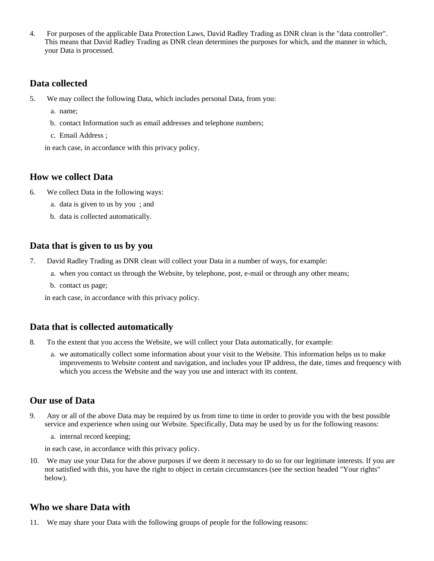4. For purposes of the applicable Data Protection Laws, David Radley Trading as DNR clean is the "data controller". This means that David Radley Trading as DNR clean determines the purposes for which, and the manner in which, your Data is processed.

### **Data collected**

- 5. We may collect the following Data, which includes personal Data, from you:
	- a. name;
	- b. contact Information such as email addresses and telephone numbers;
	- c. Email Address ;

in each case, in accordance with this privacy policy.

#### **How we collect Data**

- 6. We collect Data in the following ways:
	- a. data is given to us by you ; and
	- b. data is collected automatically.

#### **Data that is given to us by you**

- 7. David Radley Trading as DNR clean will collect your Data in a number of ways, for example:
	- a. when you contact us through the Website, by telephone, post, e-mail or through any other means;
	- b. contact us page;

in each case, in accordance with this privacy policy.

# **Data that is collected automatically**

- 8. To the extent that you access the Website, we will collect your Data automatically, for example:
	- a. we automatically collect some information about your visit to the Website. This information helps us to make improvements to Website content and navigation, and includes your IP address, the date, times and frequency with which you access the Website and the way you use and interact with its content.

# **Our use of Data**

- 9. Any or all of the above Data may be required by us from time to time in order to provide you with the best possible service and experience when using our Website. Specifically, Data may be used by us for the following reasons:
	- a. internal record keeping;

in each case, in accordance with this privacy policy.

10. We may use your Data for the above purposes if we deem it necessary to do so for our legitimate interests. If you are not satisfied with this, you have the right to object in certain circumstances (see the section headed "Your rights" below).

# **Who we share Data with**

11. We may share your Data with the following groups of people for the following reasons: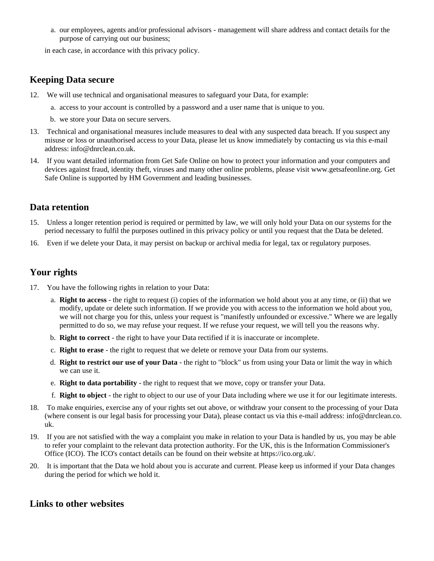a. our employees, agents and/or professional advisors - management will share address and contact details for the purpose of carrying out our business;

in each case, in accordance with this privacy policy.

#### **Keeping Data secure**

- 12. We will use technical and organisational measures to safeguard your Data, for example:
	- a. access to your account is controlled by a password and a user name that is unique to you.
	- b. we store your Data on secure servers.
- 13. Technical and organisational measures include measures to deal with any suspected data breach. If you suspect any misuse or loss or unauthorised access to your Data, please let us know immediately by contacting us via this e-mail address: info@dnrclean.co.uk.
- 14. If you want detailed information from Get Safe Online on how to protect your information and your computers and devices against fraud, identity theft, viruses and many other online problems, please visit www.getsafeonline.org. Get Safe Online is supported by HM Government and leading businesses.

#### **Data retention**

- 15. Unless a longer retention period is required or permitted by law, we will only hold your Data on our systems for the period necessary to fulfil the purposes outlined in this privacy policy or until you request that the Data be deleted.
- 16. Even if we delete your Data, it may persist on backup or archival media for legal, tax or regulatory purposes.

# **Your rights**

- 17. You have the following rights in relation to your Data:
	- a. **Right to access** the right to request (i) copies of the information we hold about you at any time, or (ii) that we modify, update or delete such information. If we provide you with access to the information we hold about you, we will not charge you for this, unless your request is "manifestly unfounded or excessive." Where we are legally permitted to do so, we may refuse your request. If we refuse your request, we will tell you the reasons why.
	- b. **Right to correct** the right to have your Data rectified if it is inaccurate or incomplete.
	- c. **Right to erase** the right to request that we delete or remove your Data from our systems.
	- d. **Right to restrict our use of your Data** the right to "block" us from using your Data or limit the way in which we can use it.
	- e. **Right to data portability** the right to request that we move, copy or transfer your Data.
	- f. **Right to object** the right to object to our use of your Data including where we use it for our legitimate interests.
- 18. To make enquiries, exercise any of your rights set out above, or withdraw your consent to the processing of your Data (where consent is our legal basis for processing your Data), please contact us via this e-mail address: info@dnrclean.co. uk.
- 19. If you are not satisfied with the way a complaint you make in relation to your Data is handled by us, you may be able to refer your complaint to the relevant data protection authority. For the UK, this is the Information Commissioner's Office (ICO). The ICO's contact details can be found on their website at https://ico.org.uk/.
- 20. It is important that the Data we hold about you is accurate and current. Please keep us informed if your Data changes during the period for which we hold it.

# **Links to other websites**